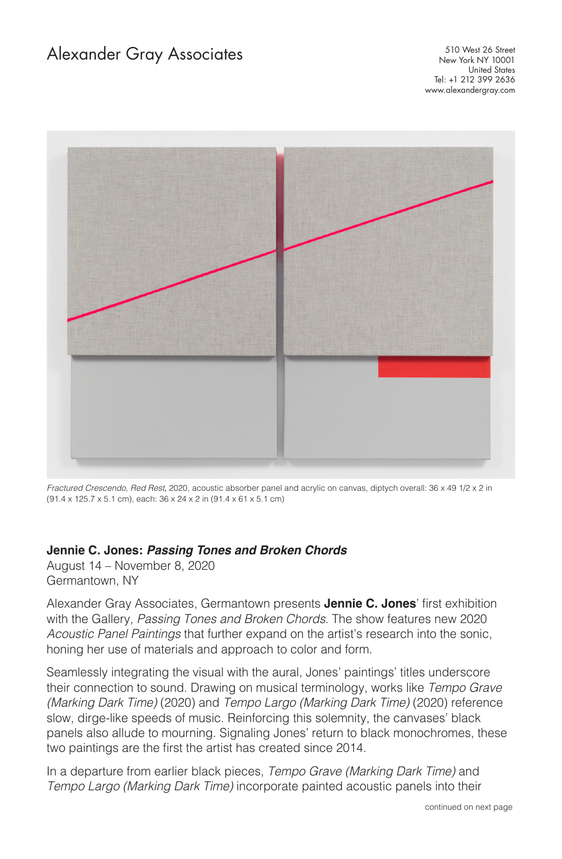## Alexander Gray Associates

510 West 26 Street New York NY 10001 United States Tel: +1 212 399 2636 www.alexandergray.com



*Fractured Crescendo, Red Rest*, 2020, acoustic absorber panel and acrylic on canvas, diptych overall: 36 x 49 1/2 x 2 in (91.4 x 125.7 x 5.1 cm), each: 36 x 24 x 2 in (91.4 x 61 x 5.1 cm)

## **Jennie C. Jones:** *Passing Tones and Broken Chords*

August 14 – November 8, 2020 Germantown, NY

Alexander Gray Associates, Germantown presents **Jennie C. Jones**' first exhibition with the Gallery, *Passing Tones and Broken Chords*. The show features new 2020 *Acoustic Panel Paintings* that further expand on the artist's research into the sonic, honing her use of materials and approach to color and form.

Seamlessly integrating the visual with the aural, Jones' paintings' titles underscore their connection to sound. Drawing on musical terminology, works like *Tempo Grave (Marking Dark Time)* (2020) and *Tempo Largo (Marking Dark Time)* (2020) reference slow, dirge-like speeds of music. Reinforcing this solemnity, the canvases' black panels also allude to mourning. Signaling Jones' return to black monochromes, these two paintings are the first the artist has created since 2014.

In a departure from earlier black pieces, *Tempo Grave (Marking Dark Time)* and *Tempo Largo (Marking Dark Time)* incorporate painted acoustic panels into their